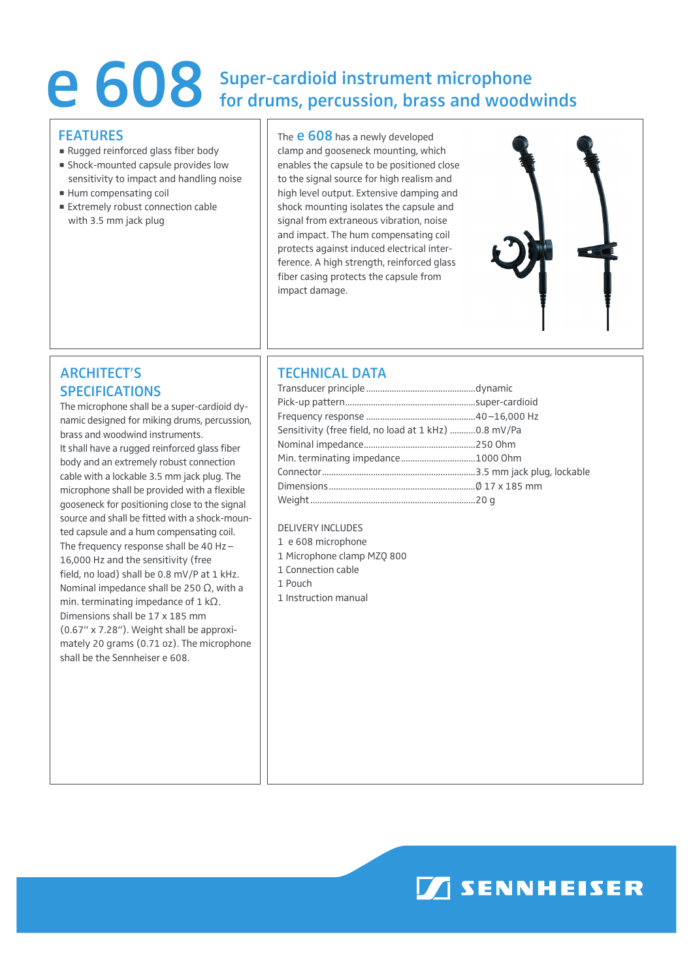# e 608 Super-cardioid instrument microphone<br>for drums, percussion, brass and woody for drums, percussion, brass and woodwinds

#### **FFATURES**

- Rugged reinforced glass fiber body
- **Shock-mounted capsule provides low** sensitivity to impact and handling noise
- Hum compensating coil
- **Extremely robust connection cable** with 3.5 mm jack plug

The **e 608** has a newly developed clamp and gooseneck mounting, which enables the capsule to be positioned close to the signal source for high realism and high level output. Extensive damping and shock mounting isolates the capsule and signal from extraneous vibration, noise and impact. The hum compensating coil protects against induced electrical interference. A high strength, reinforced glass fiber casing protects the capsule from impact damage.



## ARCHITECT'S SPECIFICATIONS

The microphone shall be a super-cardioid dynamic designed for miking drums, percussion, brass and woodwind instruments. It shall have a rugged reinforced glass fiber body and an extremely robust connection cable with a lockable 3.5 mm jack plug. The microphone shall be provided with a flexible gooseneck for positioning close to the signal source and shall be fitted with a shock-mounted capsule and a hum compensating coil. The frequency response shall be 40 Hz– 16,000 Hz and the sensitivity (free field, no load) shall be 0.8 mV/P at 1 kHz. Nominal impedance shall be 250  $\Omega$ , with a min. terminating impedance of  $1$  k $\Omega$ . Dimensions shall be 17 x 185 mm (0.67" x 7.28"). Weight shall be approximately 20 grams (0.71 oz). The microphone shall be the Sennheiser e 608.

## TECHNICAL DATA

| Sensitivity (free field, no load at 1 kHz) 0.8 mV/Pa |  |
|------------------------------------------------------|--|
|                                                      |  |
|                                                      |  |
|                                                      |  |
|                                                      |  |
|                                                      |  |

#### Delivery includes

- 1 e 608 microphone
- 1 Microphone clamp MZQ 800
- 1 Connection cable
- 1 Pouch
- 1 Instruction manual